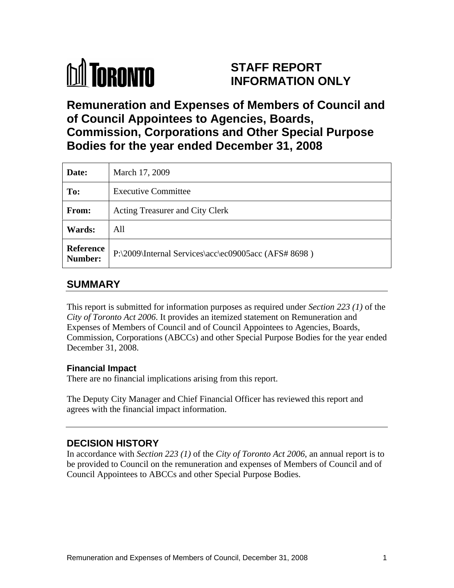

# **STAFF REPORT INFORMATION ONLY**

# **Remuneration and Expenses of Members of Council and of Council Appointees to Agencies, Boards, Commission, Corporations and Other Special Purpose Bodies for the year ended December 31, 2008**

| Date:         | March 17, 2009                                                 |
|---------------|----------------------------------------------------------------|
| To:           | <b>Executive Committee</b>                                     |
| From:         | Acting Treasurer and City Clerk                                |
| <b>Wards:</b> | All                                                            |
|               | Reference P:\2009\Internal Services\acc\ec09005acc (AFS# 8698) |

## **SUMMARY**

This report is submitted for information purposes as required under *Section 223 (1)* of the *City of Toronto Act 2006*. It provides an itemized statement on Remuneration and Expenses of Members of Council and of Council Appointees to Agencies, Boards, Commission, Corporations (ABCCs) and other Special Purpose Bodies for the year ended December 31, 2008.

#### **Financial Impact**

There are no financial implications arising from this report.

The Deputy City Manager and Chief Financial Officer has reviewed this report and agrees with the financial impact information.

#### **DECISION HISTORY**

In accordance with *Section 223 (1)* of the *City of Toronto Act 2006*, an annual report is to be provided to Council on the remuneration and expenses of Members of Council and of Council Appointees to ABCCs and other Special Purpose Bodies.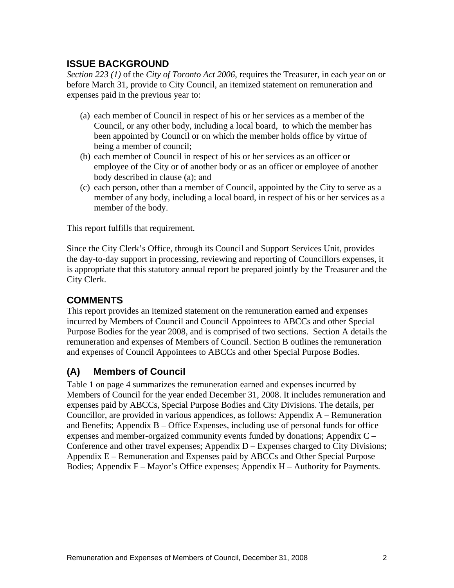#### **ISSUE BACKGROUND**

*Section 223 (1)* of the *City of Toronto Act 2006*, requires the Treasurer, in each year on or before March 31, provide to City Council, an itemized statement on remuneration and expenses paid in the previous year to:

- (a) each member of Council in respect of his or her services as a member of the Council, or any other body, including a local board, to which the member has been appointed by Council or on which the member holds office by virtue of being a member of council;
- (b) each member of Council in respect of his or her services as an officer or employee of the City or of another body or as an officer or employee of another body described in clause (a); and
- (c) each person, other than a member of Council, appointed by the City to serve as a member of any body, including a local board, in respect of his or her services as a member of the body.

This report fulfills that requirement.

Since the City Clerk's Office, through its Council and Support Services Unit, provides the day-to-day support in processing, reviewing and reporting of Councillors expenses, it is appropriate that this statutory annual report be prepared jointly by the Treasurer and the City Clerk.

## **COMMENTS**

This report provides an itemized statement on the remuneration earned and expenses incurred by Members of Council and Council Appointees to ABCCs and other Special Purpose Bodies for the year 2008, and is comprised of two sections. Section A details the remuneration and expenses of Members of Council. Section B outlines the remuneration and expenses of Council Appointees to ABCCs and other Special Purpose Bodies.

## **(A) Members of Council**

Table 1 on page 4 summarizes the remuneration earned and expenses incurred by Members of Council for the year ended December 31, 2008. It includes remuneration and expenses paid by ABCCs, Special Purpose Bodies and City Divisions. The details, per Councillor, are provided in various appendices, as follows: Appendix A – Remuneration and Benefits; Appendix B – Office Expenses, including use of personal funds for office expenses and member-orgaized community events funded by donations; Appendix C – Conference and other travel expenses; Appendix D – Expenses charged to City Divisions; Appendix E – Remuneration and Expenses paid by ABCCs and Other Special Purpose Bodies; Appendix F – Mayor's Office expenses; Appendix H – Authority for Payments.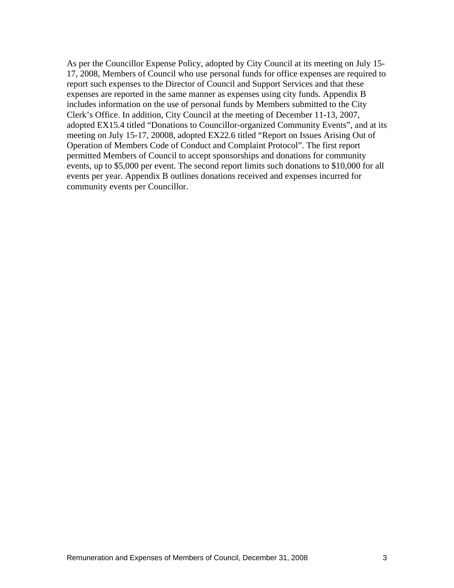As per the Councillor Expense Policy, adopted by City Council at its meeting on July 15- 17, 2008, Members of Council who use personal funds for office expenses are required to report such expenses to the Director of Council and Support Services and that these expenses are reported in the same manner as expenses using city funds. Appendix B includes information on the use of personal funds by Members submitted to the City Clerk's Office. In addition, City Council at the meeting of December 11-13, 2007, adopted EX15.4 titled "Donations to Councillor-organized Community Events", and at its meeting on July 15-17, 20008, adopted EX22.6 titled "Report on Issues Arising Out of Operation of Members Code of Conduct and Complaint Protocol". The first report permitted Members of Council to accept sponsorships and donations for community events, up to \$5,000 per event. The second report limits such donations to \$10,000 for all events per year. Appendix B outlines donations received and expenses incurred for community events per Councillor.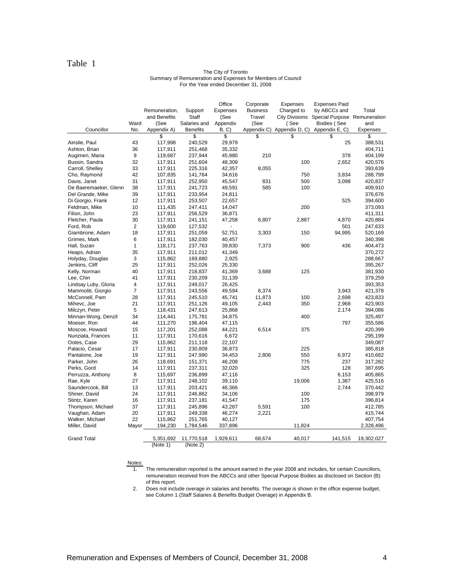#### Table 1

#### The City of Toronto Summary of Remuneration and Expenses for Members of Council For the Year ended December 31, 2008

|                                            |              |                                            |                               | Office            | Corporate       | Expenses | <b>Expenses Paid</b>                        |                    |
|--------------------------------------------|--------------|--------------------------------------------|-------------------------------|-------------------|-----------------|----------|---------------------------------------------|--------------------|
|                                            |              | Remuneration,                              | Support                       | Expenses          | <b>Business</b> |          | Charged to by ABCCs and                     | Total              |
|                                            |              | and Benefits                               | Staff                         | (See              | Travel          |          | City Divisions Special Purpose Remuneration |                    |
|                                            | Ward         | (See                                       | Salaries and Appendix         |                   | (See            | (See     | Bodies (See                                 | and                |
| Councillor                                 |              | No. Appendix A)                            | Benefits                      | B, C              |                 |          | Appendix C) Appendix D, C) Appendix E, C)   | Expenses           |
|                                            |              |                                            |                               |                   |                 |          |                                             | - \$               |
| Ainslie, Paul                              | 43           | 117,998                                    | 240,529                       | 29,979            |                 |          | 25                                          | 388,531            |
| Ashton, Brian                              | 36.          | 117,911                                    | 251,468                       | 35,332            |                 |          |                                             | 404,711            |
| Augimeri, Maria                            | $\mathbf{q}$ | 119,687                                    | 237,944                       | 45,980            | 210             |          | 378                                         | 404,199            |
| Bussin, Sandra                             | 32           | 117,911                                    | 251,604                       | 48,309            |                 | 100      | 2,652                                       | 420,576            |
| Carroll, Shelley                           | 33           | 117,911                                    | 225,316                       | 42,357            | 8,055           |          |                                             | 393,639            |
| Cho, Raymond                               | 42           | 107,835                                    | 141,764                       | 34,616            |                 | 750      | 3,834                                       | 288,799            |
| Davis, Janet                               |              | 117,911                                    | 252,950                       | 45,547            | 831             | 500      | 3,098                                       | 420,837            |
| De Baeremaeker, Glenn                      | - 38         | 117,911                                    | 241,723                       | 49,591            | 585             | 100      |                                             | 409,910            |
| Del Grande, Mike                           | -39          | 117,911                                    | 233,954                       | 24,811            |                 |          |                                             | 376,676            |
| Di Giorgio, Frank                          | 12           | 117,911                                    | 253,507                       | 22,657            |                 |          | 525                                         | 394,600            |
| Feldman, Mike                              | 10           | 111,435                                    | 247,411                       | 14,047            |                 | 200      |                                             | 373,093            |
| Filion, John                               | 23           | 117,911                                    | 256,529                       | 36,871            |                 |          |                                             | 411,311            |
| Fletcher, Paula                            | 30           | 117,911                                    | 241,151                       | 47,258            | 6,807           | 2,887    | 4,870                                       | 420,884            |
| Ford, Rob                                  |              | 119,600                                    | 127,532                       |                   |                 |          | 501                                         | 247,633            |
| Giambrone, Adam                            | 18           | 117,911                                    | 251,059                       | 52,751            | 3,303           | 150      | 94,995                                      | 520,169            |
| Grimes, Mark                               |              | 117,911                                    | 182,030                       | 40,457            |                 |          |                                             | 340,398            |
| Hall, Suzan                                |              | 118,171                                    | 237,763                       | 39,830            | 7,373           | 900      | 436                                         | 404,473            |
| Heaps, Adrian                              | 35           | 117,911                                    | 211,012                       | 41,349            |                 |          |                                             | 370,272            |
| Holyday, Douglas                           |              | 115,862                                    | 169,880                       | 2,925             |                 |          |                                             | 288,667            |
| Jenkins, Cliff                             | 25           | 117,911                                    | 252,026                       | 25,330            |                 |          |                                             | 395,267            |
| Kelly, Norman                              | 40           | 117,911                                    | 218,837                       | 41,369            | 3,688           | 125      |                                             | 381,930            |
| Lee, Chin                                  | 41           | 117,911                                    | 230,209                       | 31,139            |                 |          |                                             | 379,259            |
| Lindsay Luby, Gloria<br>Mammoliti, Giorgio |              | 117,911                                    | 249,017                       | 26,425            |                 |          |                                             | 393,353            |
|                                            |              | 117,911                                    | 243,556                       | 49,594            | 6,374           |          | 3,943                                       | 421,378            |
| McConnell, Pam                             | -28          | 117,911                                    | 245,510                       | 45,741            | 11,873          | 100      | 2,698                                       | 423,833            |
| Mihevc, Joe                                | - 21         | 117,911                                    | 251,126                       | 49,105            | 2,443           | 350      | 2,968                                       | 423,903            |
| Milczyn, Peter                             |              | 118,431                                    | 247,613                       | 25,868            |                 |          | 2,174                                       | 394,086            |
| Minnan-Wong, Denzil                        |              | 114,441                                    | 175,781                       | 34,875            |                 | 400      |                                             | 325,497            |
| Moeser, Ron                                |              | 111,270                                    | 196,404                       | 47,115            |                 |          | 797                                         | 355,586            |
| Moscoe, Howard                             | 15           | 117,201                                    | 252,088                       | 44,221            | 6,514           | 375      |                                             | 420,399            |
| Nunziata, Frances                          | 11           | 117,911                                    | 170,616                       | 6,672             |                 |          |                                             | 295,199            |
| Ootes, Case                                | 29           | 115,862                                    | 211,118                       | 22,107            |                 |          |                                             | 349,087            |
| Palacio, Cesar                             | 17           | 117,911                                    | 230,809                       | 36,873            |                 | 225      |                                             | 385,818            |
| Pantalone, Joe                             | 19           | 117,911                                    | 247,990                       | 34,453            | 2,806           | 550      | 6,972                                       | 410,682            |
| Parker, John                               | 26           | 118,691                                    | 151,371                       | 46,208            |                 | 775      | 237                                         | 317,282            |
| Perks, Gord                                | -14          | 117,911                                    | 237,311                       | 32,020            |                 | 325      | 128                                         | 387,695            |
| Perruzza, Anthony                          |              | 115,697                                    | 236,899                       | 47.116            |                 |          | 6,153                                       | 405,865            |
| Rae, Kyle                                  | 27           | 117,911                                    | 248,102                       | 39,110            |                 | 19,006   | 1,387                                       | 425,516            |
| Saundercook, Bill                          | 13           | 117,911                                    | 203,421                       | 46,366            |                 |          | 2,744                                       | 370,442            |
| Shiner, David                              | 24           | 117,911                                    | 246,862                       | 34,106            |                 | 100      |                                             | 398,979            |
| Stintz, Karen                              | 16<br>37     | 117,911                                    | 237.181                       | 41,547            |                 | 175      |                                             | 396,814            |
| Thompson, Michael                          |              | 117,911                                    | 245,896                       | 43,287            | 5,591           | 100      |                                             | 412,785            |
| Vaughan, Adam<br>Walker, Michael           | 20           | 117,911                                    | 249,338                       | 46,274            | 2,221           |          |                                             | 415,744            |
| Miller, David                              | 22<br>Mayor  | 115,862                                    | 251,765<br>194,230  1,784,546 | 40,127<br>337.896 |                 | 11,824   |                                             | 407,754            |
|                                            |              |                                            |                               |                   |                 |          |                                             | 2,328,496          |
| <b>Grand Total</b>                         |              |                                            |                               |                   | 68,674          | 40,017   |                                             | 141,515 19,302,027 |
|                                            |              | 5,351,692 11,770,518 1,929,611<br>(Note 1) | (Note 2)                      |                   |                 |          |                                             |                    |
|                                            |              |                                            |                               |                   |                 |          |                                             |                    |

Notes:

1. The remuneration reported is the amount earned in the year 2008 and includes, for certain Councillors, remuneration received from the ABCCs and other Special Purpose Bodies as disclosed on Section (B) of this report.

2. Does not include overage in salaries and benefits. The overage is shown in the office expense budget, see Column 1 (Staff Salaries & Benefits Budget Overage) in Appendix B.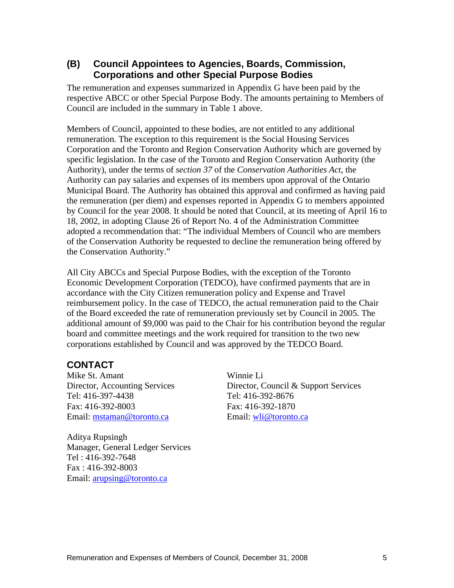#### **(B) Council Appointees to Agencies, Boards, Commission, Corporations and other Special Purpose Bodies**

The remuneration and expenses summarized in Appendix G have been paid by the respective ABCC or other Special Purpose Body. The amounts pertaining to Members of Council are included in the summary in Table 1 above.

 Members of Council, appointed to these bodies, are not entitled to any additional remuneration. The exception to this requirement is the Social Housing Services Corporation and the Toronto and Region Conservation Authority which are governed by specific legislation. In the case of the Toronto and Region Conservation Authority (the Authority), under the terms of *section 37* of the *Conservation Authorities Act*, the Authority can pay salaries and expenses of its members upon approval of the Ontario Municipal Board. The Authority has obtained this approval and confirmed as having paid the remuneration (per diem) and expenses reported in Appendix G to members appointed by Council for the year 2008. It should be noted that Council, at its meeting of April 16 to 18, 2002, in adopting Clause 26 of Report No. 4 of the Administration Committee adopted a recommendation that: "The individual Members of Council who are members of the Conservation Authority be requested to decline the remuneration being offered by the Conservation Authority."

All City ABCCs and Special Purpose Bodies, with the exception of the Toronto Economic Development Corporation (TEDCO), have confirmed payments that are in accordance with the City Citizen remuneration policy and Expense and Travel reimbursement policy. In the case of TEDCO, the actual remuneration paid to the Chair of the Board exceeded the rate of remuneration previously set by Council in 2005. The additional amount of \$9,000 was paid to the Chair for his contribution beyond the regular board and committee meetings and the work required for transition to the two new corporations established by Council and was approved by the TEDCO Board.

## **CONTACT**

Email: mstaman@toronto.ca Email: wli@toronto.ca

Aditya Rupsingh Manager, General Ledger Services Tel : 416-392-7648 Fax : 416-392-8003 Email: arupsing@toronto.ca

Mike St. Amant Winnie Li Director, Accounting Services Director, Council & Support Services Tel: 416-397-4438 Tel: 416-392-8676 Fax: 416-392-8003 Fax: 416-392-1870